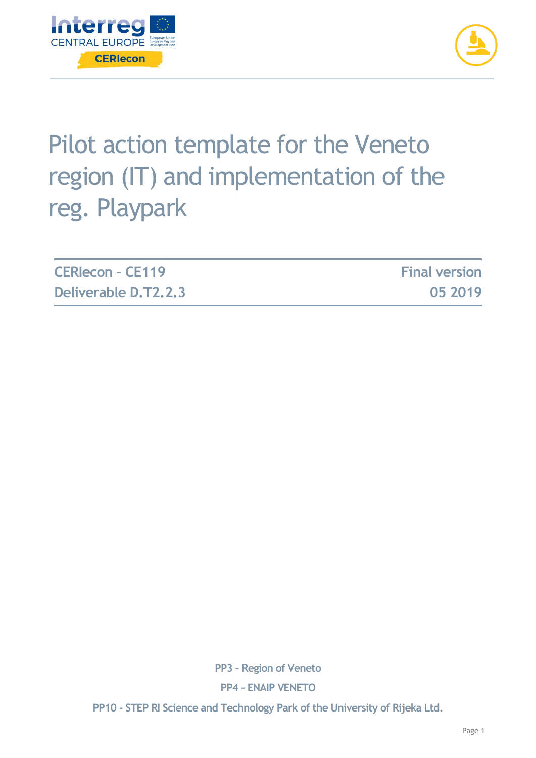



# Pilot action template for the Veneto region (IT) and implementation of the reg. Playpark

| <b>CERIecon - CE119</b> | <b>Final version</b> |
|-------------------------|----------------------|
| Deliverable D.T2.2.3    | 05 2019              |

**PP3 – Region of Veneto**

**PP4 – ENAIP VENETO**

**PP10 - STEP RI Science and Technology Park of the University of Rijeka Ltd.**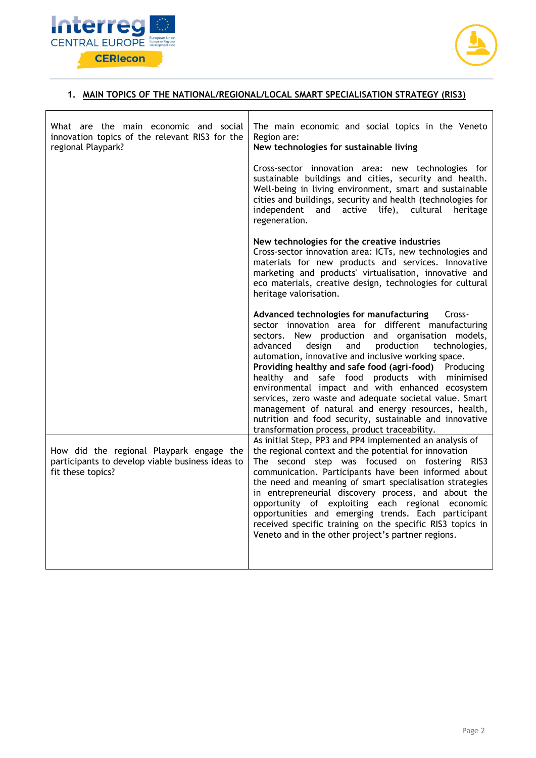



#### **1. MAIN TOPICS OF THE NATIONAL/REGIONAL/LOCAL SMART SPECIALISATION STRATEGY (RIS3)**

| What are the main economic and social<br>innovation topics of the relevant RIS3 for the<br>regional Playpark?     | The main economic and social topics in the Veneto<br>Region are:<br>New technologies for sustainable living                                                                                                                                                                                                                                                                                                                                                                                                                                                                                                                                                                |  |
|-------------------------------------------------------------------------------------------------------------------|----------------------------------------------------------------------------------------------------------------------------------------------------------------------------------------------------------------------------------------------------------------------------------------------------------------------------------------------------------------------------------------------------------------------------------------------------------------------------------------------------------------------------------------------------------------------------------------------------------------------------------------------------------------------------|--|
|                                                                                                                   | Cross-sector innovation area: new technologies for<br>sustainable buildings and cities, security and health.<br>Well-being in living environment, smart and sustainable<br>cities and buildings, security and health (technologies for<br>active life), cultural heritage<br>independent<br>and<br>regeneration.                                                                                                                                                                                                                                                                                                                                                           |  |
|                                                                                                                   | New technologies for the creative industries<br>Cross-sector innovation area: ICTs, new technologies and<br>materials for new products and services. Innovative<br>marketing and products' virtualisation, innovative and<br>eco materials, creative design, technologies for cultural<br>heritage valorisation.                                                                                                                                                                                                                                                                                                                                                           |  |
|                                                                                                                   | Advanced technologies for manufacturing<br>Cross-<br>sector innovation area for different manufacturing<br>sectors. New production and organisation models,<br>design<br>production<br>technologies,<br>advanced<br>and<br>automation, innovative and inclusive working space.<br>Providing healthy and safe food (agri-food) Producing<br>healthy and safe food products with minimised<br>environmental impact and with enhanced ecosystem<br>services, zero waste and adequate societal value. Smart<br>management of natural and energy resources, health,<br>nutrition and food security, sustainable and innovative<br>transformation process, product traceability. |  |
| How did the regional Playpark engage the<br>participants to develop viable business ideas to<br>fit these topics? | As initial Step, PP3 and PP4 implemented an analysis of<br>the regional context and the potential for innovation<br>The second step was focused on fostering RIS3<br>communication. Participants have been informed about<br>the need and meaning of smart specialisation strategies<br>in entrepreneurial discovery process, and about the<br>opportunity of exploiting each regional economic<br>opportunities and emerging trends. Each participant<br>received specific training on the specific RIS3 topics in<br>Veneto and in the other project's partner regions.                                                                                                  |  |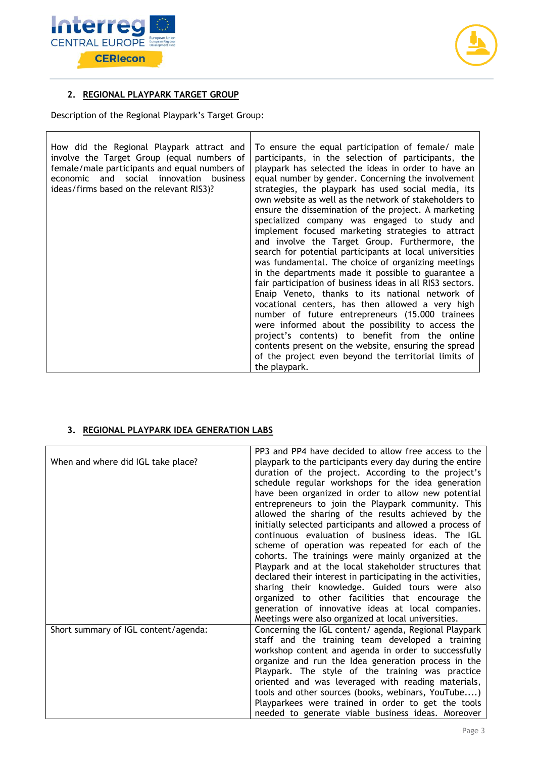



### **2. REGIONAL PLAYPARK TARGET GROUP**

Description of the Regional Playpark's Target Group:

#### **3. REGIONAL PLAYPARK IDEA GENERATION LABS**

| When and where did IGL take place?   | PP3 and PP4 have decided to allow free access to the<br>playpark to the participants every day during the entire<br>duration of the project. According to the project's<br>schedule regular workshops for the idea generation<br>have been organized in order to allow new potential<br>entrepreneurs to join the Playpark community. This<br>allowed the sharing of the results achieved by the<br>initially selected participants and allowed a process of<br>continuous evaluation of business ideas. The IGL<br>scheme of operation was repeated for each of the<br>cohorts. The trainings were mainly organized at the<br>Playpark and at the local stakeholder structures that<br>declared their interest in participating in the activities,<br>sharing their knowledge. Guided tours were also<br>organized to other facilities that encourage the<br>generation of innovative ideas at local companies. |
|--------------------------------------|------------------------------------------------------------------------------------------------------------------------------------------------------------------------------------------------------------------------------------------------------------------------------------------------------------------------------------------------------------------------------------------------------------------------------------------------------------------------------------------------------------------------------------------------------------------------------------------------------------------------------------------------------------------------------------------------------------------------------------------------------------------------------------------------------------------------------------------------------------------------------------------------------------------|
|                                      | Meetings were also organized at local universities.                                                                                                                                                                                                                                                                                                                                                                                                                                                                                                                                                                                                                                                                                                                                                                                                                                                              |
| Short summary of IGL content/agenda: | Concerning the IGL content/ agenda, Regional Playpark<br>staff and the training team developed a training<br>workshop content and agenda in order to successfully<br>organize and run the Idea generation process in the<br>Playpark. The style of the training was practice<br>oriented and was leveraged with reading materials,<br>tools and other sources (books, webinars, YouTube)<br>Playparkees were trained in order to get the tools<br>needed to generate viable business ideas. Moreover                                                                                                                                                                                                                                                                                                                                                                                                             |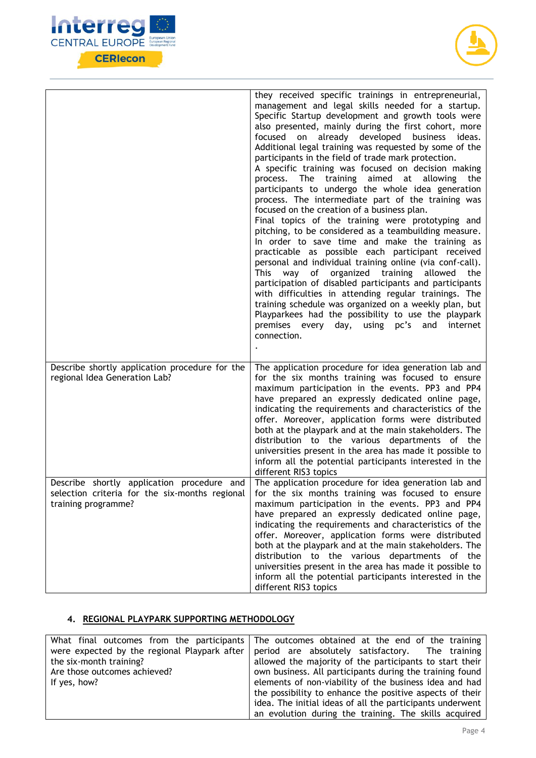



|                                                                                                                     | they received specific trainings in entrepreneurial,<br>management and legal skills needed for a startup.<br>Specific Startup development and growth tools were<br>also presented, mainly during the first cohort, more<br>on already developed business ideas.<br>focused<br>Additional legal training was requested by some of the<br>participants in the field of trade mark protection.<br>A specific training was focused on decision making<br>The training aimed at allowing<br>process.<br>the<br>participants to undergo the whole idea generation<br>process. The intermediate part of the training was<br>focused on the creation of a business plan.<br>Final topics of the training were prototyping and<br>pitching, to be considered as a teambuilding measure.<br>In order to save time and make the training as<br>practicable as possible each participant received<br>personal and individual training online (via conf-call).<br>of organized training allowed<br>This<br>the<br>way<br>participation of disabled participants and participants<br>with difficulties in attending regular trainings. The<br>training schedule was organized on a weekly plan, but<br>Playparkees had the possibility to use the playpark<br>premises every day,<br>using pc's<br>and<br>internet<br>connection. |
|---------------------------------------------------------------------------------------------------------------------|---------------------------------------------------------------------------------------------------------------------------------------------------------------------------------------------------------------------------------------------------------------------------------------------------------------------------------------------------------------------------------------------------------------------------------------------------------------------------------------------------------------------------------------------------------------------------------------------------------------------------------------------------------------------------------------------------------------------------------------------------------------------------------------------------------------------------------------------------------------------------------------------------------------------------------------------------------------------------------------------------------------------------------------------------------------------------------------------------------------------------------------------------------------------------------------------------------------------------------------------------------------------------------------------------------------------|
| Describe shortly application procedure for the<br>regional Idea Generation Lab?                                     | The application procedure for idea generation lab and<br>for the six months training was focused to ensure<br>maximum participation in the events. PP3 and PP4<br>have prepared an expressly dedicated online page,<br>indicating the requirements and characteristics of the<br>offer. Moreover, application forms were distributed<br>both at the playpark and at the main stakeholders. The<br>distribution to the various departments of the<br>universities present in the area has made it possible to<br>inform all the potential participants interested in the<br>different RIS3 topics                                                                                                                                                                                                                                                                                                                                                                                                                                                                                                                                                                                                                                                                                                                    |
| Describe shortly application procedure and<br>selection criteria for the six-months regional<br>training programme? | The application procedure for idea generation lab and<br>for the six months training was focused to ensure<br>maximum participation in the events. PP3 and PP4<br>have prepared an expressly dedicated online page,<br>indicating the requirements and characteristics of the<br>offer. Moreover, application forms were distributed<br>both at the playpark and at the main stakeholders. The<br>distribution to the various departments of the<br>universities present in the area has made it possible to<br>inform all the potential participants interested in the<br>different RIS3 topics                                                                                                                                                                                                                                                                                                                                                                                                                                                                                                                                                                                                                                                                                                                    |

## **4. REGIONAL PLAYPARK SUPPORTING METHODOLOGY**

|                              | What final outcomes from the participants The outcomes obtained at the end of the training      |
|------------------------------|-------------------------------------------------------------------------------------------------|
|                              | were expected by the regional Playpark after   period are absolutely satisfactory. The training |
| the six-month training?      | allowed the majority of the participants to start their                                         |
| Are those outcomes achieved? | own business. All participants during the training found                                        |
| If yes, how?                 | elements of non-viability of the business idea and had                                          |
|                              | the possibility to enhance the positive aspects of their                                        |
|                              | idea. The initial ideas of all the participants underwent                                       |
|                              | an evolution during the training. The skills acquired                                           |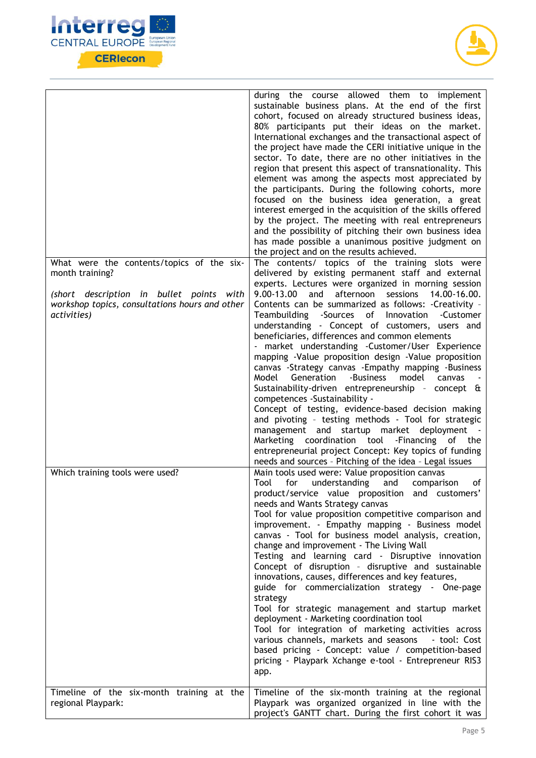



|                                                                                                           | during the course allowed them to implement<br>sustainable business plans. At the end of the first<br>cohort, focused on already structured business ideas,<br>80% participants put their ideas on the market.<br>International exchanges and the transactional aspect of<br>the project have made the CERI initiative unique in the<br>sector. To date, there are no other initiatives in the<br>region that present this aspect of transnationality. This<br>element was among the aspects most appreciated by<br>the participants. During the following cohorts, more<br>focused on the business idea generation, a great<br>interest emerged in the acquisition of the skills offered<br>by the project. The meeting with real entrepreneurs<br>and the possibility of pitching their own business idea<br>has made possible a unanimous positive judgment on<br>the project and on the results achieved.                                                                           |
|-----------------------------------------------------------------------------------------------------------|-----------------------------------------------------------------------------------------------------------------------------------------------------------------------------------------------------------------------------------------------------------------------------------------------------------------------------------------------------------------------------------------------------------------------------------------------------------------------------------------------------------------------------------------------------------------------------------------------------------------------------------------------------------------------------------------------------------------------------------------------------------------------------------------------------------------------------------------------------------------------------------------------------------------------------------------------------------------------------------------|
| What were the contents/topics of the six-<br>month training?                                              | The contents/ topics of the training slots were<br>delivered by existing permanent staff and external<br>experts. Lectures were organized in morning session                                                                                                                                                                                                                                                                                                                                                                                                                                                                                                                                                                                                                                                                                                                                                                                                                            |
| (short description in bullet points with<br>workshop topics, consultations hours and other<br>activities) | 9.00-13.00<br>and<br>afternoon<br>sessions<br>14.00-16.00.<br>Contents can be summarized as follows: -Creativity -<br>Teambuilding<br>-Sources<br>Innovation<br>-Customer<br>of<br>understanding - Concept of customers, users and<br>beneficiaries, differences and common elements<br>- market understanding -Customer/User Experience<br>mapping -Value proposition design -Value proposition<br>canvas -Strategy canvas -Empathy mapping -Business<br>Generation<br>-Business<br>model<br>Model<br>canvas<br>Sustainability-driven entrepreneurship - concept &<br>competences -Sustainability -<br>Concept of testing, evidence-based decision making<br>and pivoting - testing methods - Tool for strategic<br>management and startup market deployment<br>$\sim$ $\sim$<br>-Financing of the<br>Marketing coordination tool<br>entrepreneurial project Concept: Key topics of funding<br>needs and sources - Pitching of the idea - Legal issues                                 |
| Which training tools were used?                                                                           | Main tools used were: Value proposition canvas<br>for<br>understanding<br>comparison<br>Tool<br>and<br>οf<br>product/service value proposition and customers'<br>needs and Wants Strategy canvas<br>Tool for value proposition competitive comparison and<br>improvement. - Empathy mapping - Business model<br>canvas - Tool for business model analysis, creation,<br>change and improvement - The Living Wall<br>Testing and learning card - Disruptive innovation<br>Concept of disruption - disruptive and sustainable<br>innovations, causes, differences and key features,<br>guide for commercialization strategy - One-page<br>strategy<br>Tool for strategic management and startup market<br>deployment - Marketing coordination tool<br>Tool for integration of marketing activities across<br>various channels, markets and seasons<br>- tool: Cost<br>based pricing - Concept: value / competition-based<br>pricing - Playpark Xchange e-tool - Entrepreneur RIS3<br>app. |
| Timeline of the six-month training at the<br>regional Playpark:                                           | Timeline of the six-month training at the regional<br>Playpark was organized organized in line with the<br>project's GANTT chart. During the first cohort it was                                                                                                                                                                                                                                                                                                                                                                                                                                                                                                                                                                                                                                                                                                                                                                                                                        |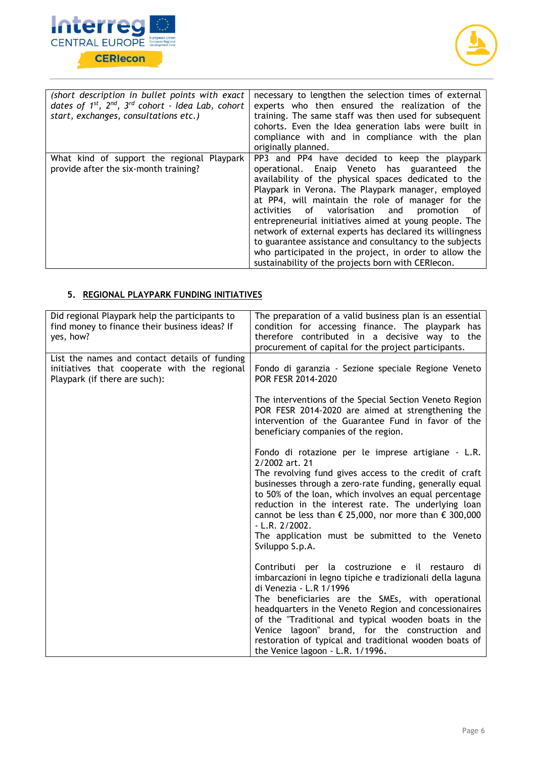



| (short description in bullet points with exact<br>dates of $1^{st}$ , $2^{nd}$ , $3^{rd}$ cohort - Idea Lab, cohort<br>start, exchanges, consultations etc.) | necessary to lengthen the selection times of external<br>experts who then ensured the realization of the<br>training. The same staff was then used for subsequent<br>cohorts. Even the Idea generation labs were built in<br>compliance with and in compliance with the plan<br>originally planned.                                                                                                                                                                                                                                                                                                                 |
|--------------------------------------------------------------------------------------------------------------------------------------------------------------|---------------------------------------------------------------------------------------------------------------------------------------------------------------------------------------------------------------------------------------------------------------------------------------------------------------------------------------------------------------------------------------------------------------------------------------------------------------------------------------------------------------------------------------------------------------------------------------------------------------------|
| What kind of support the regional Playpark<br>provide after the six-month training?                                                                          | PP3 and PP4 have decided to keep the playpark<br>operational. Enaip Veneto has guaranteed the<br>availability of the physical spaces dedicated to the<br>Playpark in Verona. The Playpark manager, employed<br>at PP4, will maintain the role of manager for the<br>activities of valorisation and promotion<br>of<br>entrepreneurial initiatives aimed at young people. The<br>network of external experts has declared its willingness<br>to guarantee assistance and consultancy to the subjects<br>who participated in the project, in order to allow the<br>sustainability of the projects born with CERIecon. |

# **5. REGIONAL PLAYPARK FUNDING INITIATIVES**

| Did regional Playpark help the participants to<br>find money to finance their business ideas? If<br>yes, how?                  | The preparation of a valid business plan is an essential<br>condition for accessing finance. The playpark has<br>therefore contributed in a decisive way to the<br>procurement of capital for the project participants.                                                                                                                                                                                                                                                        |
|--------------------------------------------------------------------------------------------------------------------------------|--------------------------------------------------------------------------------------------------------------------------------------------------------------------------------------------------------------------------------------------------------------------------------------------------------------------------------------------------------------------------------------------------------------------------------------------------------------------------------|
| List the names and contact details of funding<br>initiatives that cooperate with the regional<br>Playpark (if there are such): | Fondo di garanzia - Sezione speciale Regione Veneto<br>POR FESR 2014-2020                                                                                                                                                                                                                                                                                                                                                                                                      |
|                                                                                                                                | The interventions of the Special Section Veneto Region<br>POR FESR 2014-2020 are aimed at strengthening the<br>intervention of the Guarantee Fund in favor of the<br>beneficiary companies of the region.                                                                                                                                                                                                                                                                      |
|                                                                                                                                | Fondo di rotazione per le imprese artigiane - L.R.<br>2/2002 art. 21<br>The revolving fund gives access to the credit of craft<br>businesses through a zero-rate funding, generally equal<br>to 50% of the loan, which involves an equal percentage<br>reduction in the interest rate. The underlying loan<br>cannot be less than $\epsilon$ 25,000, nor more than $\epsilon$ 300,000<br>$-L.R. 2/2002.$<br>The application must be submitted to the Veneto<br>Sviluppo S.p.A. |
|                                                                                                                                | Contributi per la costruzione e il restauro di<br>imbarcazioni in legno tipiche e tradizionali della laguna<br>di Venezia - L.R 1/1996<br>The beneficiaries are the SMEs, with operational                                                                                                                                                                                                                                                                                     |
|                                                                                                                                | headquarters in the Veneto Region and concessionaires<br>of the "Traditional and typical wooden boats in the<br>Venice lagoon" brand, for the construction and<br>restoration of typical and traditional wooden boats of<br>the Venice lagoon - L.R. 1/1996.                                                                                                                                                                                                                   |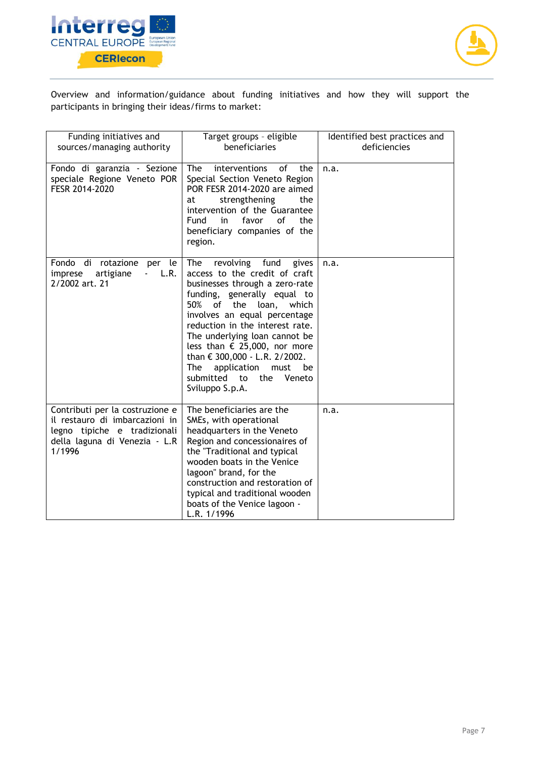



Overview and information/guidance about funding initiatives and how they will support the participants in bringing their ideas/firms to market:

| Funding initiatives and<br>sources/managing authority                                                                                        | Target groups - eligible<br>beneficiaries                                                                                                                                                                                                                                                                                                                                                                                             | Identified best practices and<br>deficiencies |
|----------------------------------------------------------------------------------------------------------------------------------------------|---------------------------------------------------------------------------------------------------------------------------------------------------------------------------------------------------------------------------------------------------------------------------------------------------------------------------------------------------------------------------------------------------------------------------------------|-----------------------------------------------|
| Fondo di garanzia - Sezione<br>speciale Regione Veneto POR<br>FESR 2014-2020                                                                 | <b>The</b><br>of<br>the<br>interventions<br>Special Section Veneto Region<br>POR FESR 2014-2020 are aimed<br>strengthening<br>the<br>at<br>intervention of the Guarantee<br>Fund<br>in<br>favor<br>0f<br>the<br>beneficiary companies of the<br>region.                                                                                                                                                                               | n.a.                                          |
| Fondo di rotazione per<br>le I<br>artigiane<br>L.R.<br>imprese<br>$\sim 100$<br>2/2002 art. 21                                               | revolving fund<br><b>The</b><br>gives<br>access to the credit of craft<br>businesses through a zero-rate<br>funding, generally equal to<br>50%<br>of the loan, which<br>involves an equal percentage<br>reduction in the interest rate.<br>The underlying loan cannot be<br>less than € 25,000, nor more<br>than € 300,000 - L.R. 2/2002.<br><b>The</b><br>application<br>must<br>be<br>submitted to the<br>Veneto<br>Sviluppo S.p.A. | n.a.                                          |
| Contributi per la costruzione e<br>il restauro di imbarcazioni in<br>legno tipiche e tradizionali<br>della laguna di Venezia - L.R<br>1/1996 | The beneficiaries are the<br>SMEs, with operational<br>headquarters in the Veneto<br>Region and concessionaires of<br>the "Traditional and typical<br>wooden boats in the Venice<br>lagoon" brand, for the<br>construction and restoration of<br>typical and traditional wooden<br>boats of the Venice lagoon -<br>L.R. 1/1996                                                                                                        | n.a.                                          |